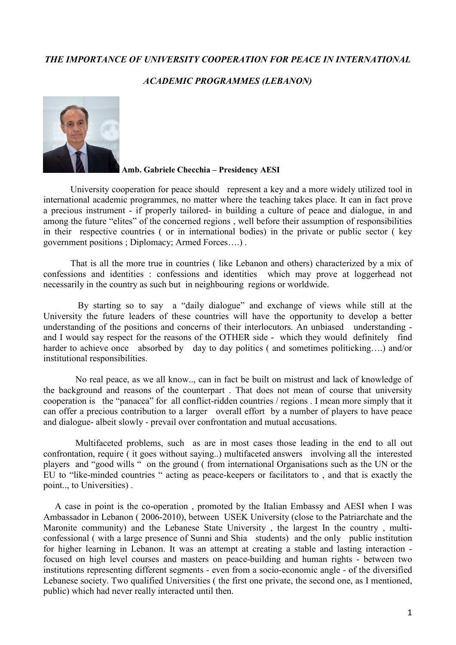## *THE IMPORTANCE OF UNIVERSITY COOPERATION FOR PEACE IN INTERNATIONAL*

## *ACADEMIC PROGRAMMES (LEBANON)*



## **Amb. Gabriele Checchia – Presidency AESI**

University cooperation for peace should represent a key and a more widely utilized tool in international academic programmes, no matter where the teaching takes place. It can in fact prove a precious instrument - if properly tailored- in building a culture of peace and dialogue, in and among the future "elites" of the concerned regions , well before their assumption of responsibilities in their respective countries ( or in international bodies) in the private or public sector ( key government positions ; Diplomacy; Armed Forces….) .

That is all the more true in countries ( like Lebanon and others) characterized by a mix of confessions and identities : confessions and identities which may prove at loggerhead not necessarily in the country as such but in neighbouring regions or worldwide.

 By starting so to say a "daily dialogue" and exchange of views while still at the University the future leaders of these countries will have the opportunity to develop a better understanding of the positions and concerns of their interlocutors. An unbiased understanding and I would say respect for the reasons of the OTHER side - which they would definitely find harder to achieve once absorbed by day to day politics (and sometimes politicking....) and/or institutional responsibilities.

 No real peace, as we all know.., can in fact be built on mistrust and lack of knowledge of the background and reasons of the counterpart . That does not mean of course that university cooperation is the "panacea" for all conflict-ridden countries / regions . I mean more simply that it can offer a precious contribution to a larger overall effort by a number of players to have peace and dialogue- albeit slowly - prevail over confrontation and mutual accusations.

 Multifaceted problems, such as are in most cases those leading in the end to all out confrontation, require ( it goes without saying..) multifaceted answers involving all the interested players and "good wills " on the ground ( from international Organisations such as the UN or the EU to "like-minded countries " acting as peace-keepers or facilitators to , and that is exactly the point.., to Universities) .

 A case in point is the co-operation , promoted by the Italian Embassy and AESI when I was Ambassador in Lebanon ( 2006-2010), between USEK University (close to the Patriarchate and the Maronite community) and the Lebanese State University , the largest In the country , multiconfessional ( with a large presence of Sunni and Shia students) and the only public institution for higher learning in Lebanon. It was an attempt at creating a stable and lasting interaction focused on high level courses and masters on peace-building and human rights - between two institutions representing different segments - even from a socio-economic angle - of the diversified Lebanese society. Two qualified Universities ( the first one private, the second one, as I mentioned, public) which had never really interacted until then.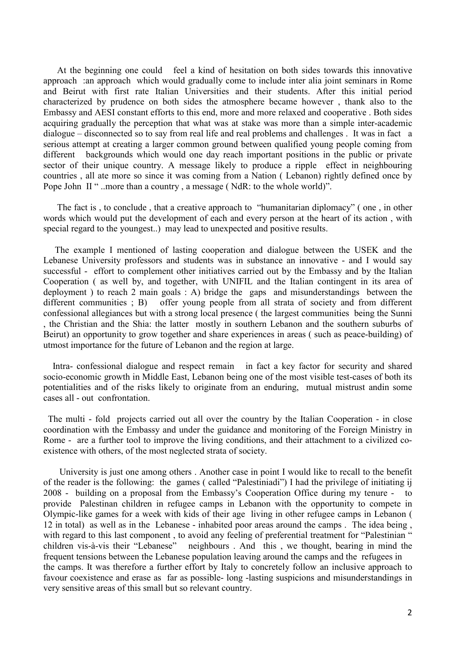At the beginning one could feel a kind of hesitation on both sides towards this innovative approach :an approach which would gradually come to include inter alia joint seminars in Rome and Beirut with first rate Italian Universities and their students. After this initial period characterized by prudence on both sides the atmosphere became however , thank also to the Embassy and AESI constant efforts to this end, more and more relaxed and cooperative . Both sides acquiring gradually the perception that what was at stake was more than a simple inter-academic dialogue – disconnected so to say from real life and real problems and challenges . It was in fact a serious attempt at creating a larger common ground between qualified young people coming from different backgrounds which would one day reach important positions in the public or private sector of their unique country. A message likely to produce a ripple effect in neighbouring countries , all ate more so since it was coming from a Nation ( Lebanon) rightly defined once by Pope John II" ..more than a country, a message (NdR: to the whole world)".

 The fact is , to conclude , that a creative approach to "humanitarian diplomacy" ( one , in other words which would put the development of each and every person at the heart of its action , with special regard to the youngest..) may lead to unexpected and positive results.

 The example I mentioned of lasting cooperation and dialogue between the USEK and the Lebanese University professors and students was in substance an innovative - and I would say successful - effort to complement other initiatives carried out by the Embassy and by the Italian Cooperation ( as well by, and together, with UNIFIL and the Italian contingent in its area of deployment ) to reach 2 main goals : A) bridge the gaps and misunderstandings between the different communities ; B) offer young people from all strata of society and from different confessional allegiances but with a strong local presence ( the largest communities being the Sunni , the Christian and the Shia: the latter mostly in southern Lebanon and the southern suburbs of Beirut) an opportunity to grow together and share experiences in areas ( such as peace-building) of utmost importance for the future of Lebanon and the region at large.

 Intra- confessional dialogue and respect remain in fact a key factor for security and shared socio-economic growth in Middle East, Lebanon being one of the most visible test-cases of both its potentialities and of the risks likely to originate from an enduring, mutual mistrust andin some cases all - out confrontation.

 The multi - fold projects carried out all over the country by the Italian Cooperation - in close coordination with the Embassy and under the guidance and monitoring of the Foreign Ministry in Rome - are a further tool to improve the living conditions, and their attachment to a civilized coexistence with others, of the most neglected strata of society.

 University is just one among others . Another case in point I would like to recall to the benefit of the reader is the following: the games ( called "Palestiniadi") I had the privilege of initiating ij 2008 - building on a proposal from the Embassy's Cooperation Office during my tenure - to provide Palestinan children in refugee camps in Lebanon with the opportunity to compete in Olympic-like games for a week with kids of their age living in other refugee camps in Lebanon ( 12 in total) as well as in the Lebanese - inhabited poor areas around the camps . The idea being , with regard to this last component, to avoid any feeling of preferential treatment for "Palestinian " children vis-à-vis their "Lebanese" neighbours . And this , we thought, bearing in mind the frequent tensions between the Lebanese population leaving around the camps and the refugees in the camps. It was therefore a further effort by Italy to concretely follow an inclusive approach to favour coexistence and erase as far as possible- long -lasting suspicions and misunderstandings in very sensitive areas of this small but so relevant country.